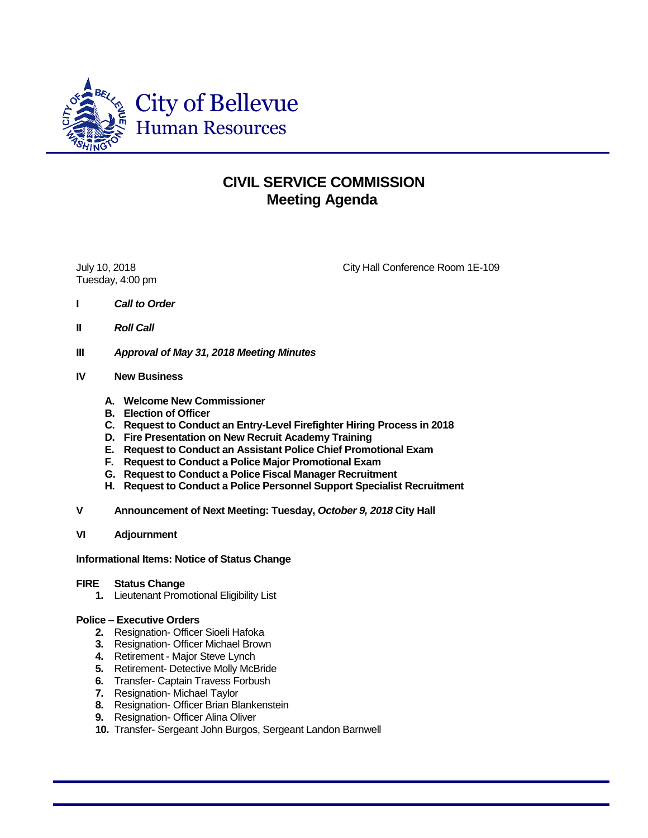

# **CIVIL SERVICE COMMISSION Meeting Agenda**

Tuesday, 4:00 pm

July 10, 2018 City Hall Conference Room 1E-109

- **I** *Call to Order*
- **II** *Roll Call*
- **III** *Approval of May 31, 2018 Meeting Minutes*

## **IV New Business**

- **A. Welcome New Commissioner**
- **B. Election of Officer**
- **C. Request to Conduct an Entry-Level Firefighter Hiring Process in 2018**
- **D. Fire Presentation on New Recruit Academy Training**
- **E. Request to Conduct an Assistant Police Chief Promotional Exam**
- **F. Request to Conduct a Police Major Promotional Exam**
- **G. Request to Conduct a Police Fiscal Manager Recruitment**
- **H. Request to Conduct a Police Personnel Support Specialist Recruitment**
- **V Announcement of Next Meeting: Tuesday,** *October 9, 2018* **City Hall**
- **VI Adjournment**

### **Informational Items: Notice of Status Change**

### **FIRE Status Change**

**1.** Lieutenant Promotional Eligibility List

### **Police – Executive Orders**

- **2.** Resignation- Officer Sioeli Hafoka
- **3.** Resignation- Officer Michael Brown
- **4.** Retirement Major Steve Lynch
- **5.** Retirement- Detective Molly McBride
- **6.** Transfer- Captain Travess Forbush
- **7.** Resignation- Michael Taylor
- **8.** Resignation- Officer Brian Blankenstein
- **9.** Resignation- Officer Alina Oliver
- **10.** Transfer- Sergeant John Burgos, Sergeant Landon Barnwell